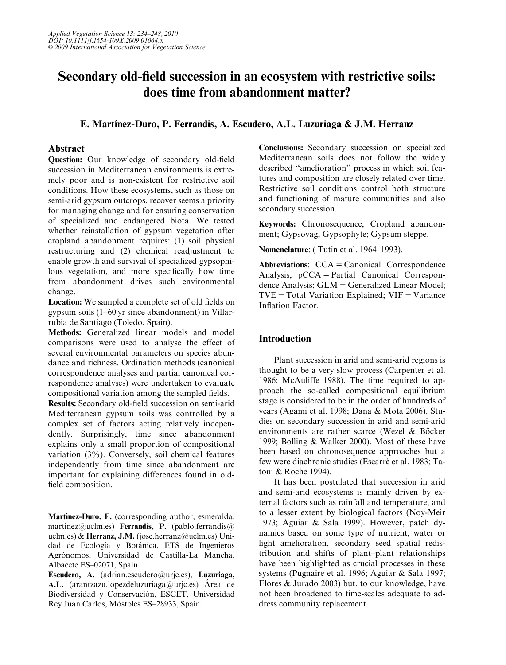# Secondary old-field succession in an ecosystem with restrictive soils: does time from abandonment matter?

# E. Martínez-Duro, P. Ferrandis, A. Escudero, A.L. Luzuriaga & J.M. Herranz

## Abstract

Question: Our knowledge of secondary old-field succession in Mediterranean environments is extremely poor and is non-existent for restrictive soil conditions. How these ecosystems, such as those on semi-arid gypsum outcrops, recover seems a priority for managing change and for ensuring conservation of specialized and endangered biota. We tested whether reinstallation of gypsum vegetation after cropland abandonment requires: (1) soil physical restructuring and (2) chemical readjustment to enable growth and survival of specialized gypsophilous vegetation, and more specifically how time from abandonment drives such environmental change.

Location: We sampled a complete set of old fields on gypsum soils (1–60 yr since abandonment) in Villarrubia de Santiago (Toledo, Spain).

Methods: Generalized linear models and model comparisons were used to analyse the effect of several environmental parameters on species abundance and richness. Ordination methods (canonical correspondence analyses and partial canonical correspondence analyses) were undertaken to evaluate compositional variation among the sampled fields.

Results: Secondary old-field succession on semi-arid Mediterranean gypsum soils was controlled by a complex set of factors acting relatively independently. Surprisingly, time since abandonment explains only a small proportion of compositional variation (3%). Conversely, soil chemical features independently from time since abandonment are important for explaining differences found in oldfield composition.

Conclusions: Secondary succession on specialized Mediterranean soils does not follow the widely described ''amelioration'' process in which soil features and composition are closely related over time. Restrictive soil conditions control both structure and functioning of mature communities and also secondary succession.

Keywords: Chronosequence; Cropland abandonment; Gypsovag; Gypsophyte; Gypsum steppe.

Nomenclature: ( Tutin et al. 1964–1993).

Abbreviations:  $CCA = Canonical$  Correspondence Analysis;  $pCCA = Partial$  Canonical Correspondence Analysis;  $GLM =$  Generalized Linear Model;  $TVE = Total Variation Explained; VIF = Variance$ Inflation Factor.

## Introduction

Plant succession in arid and semi-arid regions is thought to be a very slow process (Carpenter et al. 1986; McAuliffe 1988). The time required to approach the so-called compositional equilibrium stage is considered to be in the order of hundreds of years (Agami et al. 1998; Dana & Mota 2006). Studies on secondary succession in arid and semi-arid environments are rather scarce (Wezel  $& B\ddot{o}$ cker 1999; Bolling & Walker 2000). Most of these have been based on chronosequence approaches but a few were diachronic studies (Escarré et al. 1983; Tatoni & Roche 1994).

It has been postulated that succession in arid and semi-arid ecosystems is mainly driven by external factors such as rainfall and temperature, and to a lesser extent by biological factors (Noy-Meir 1973; Aguiar & Sala 1999). However, patch dynamics based on some type of nutrient, water or light amelioration, secondary seed spatial redistribution and shifts of plant–plant relationships have been highlighted as crucial processes in these systems (Pugnaire et al. 1996; Aguiar & Sala 1997; Flores & Jurado 2003) but, to our knowledge, have not been broadened to time-scales adequate to address community replacement.

Martinez-Duro, E. (corresponding author, [esmeralda.](mailto:esmeralda.martinez@uclm.es) [martinez@uclm.es\)](mailto:pablo.ferrandis@uclm.es) Ferrandis, P. (pablo.ferrandis@ uclm.es) & Herranz, J.M. [\(jose.herranz@uclm.es\) Uni](mailto:jose.herranz@uclm.es)dad de Ecología y Botánica, ETS de Ingenieros Agrónomos, Universidad de Castilla-La Mancha, [Albacete ES–02071, Spain](mailto:jose.herranz@uclm.es)

Escudero, A. [\(adrian.escudero@urjc.es\),](mailto:adrian.escudero@urjc.es) Luzuriaga, A.L. (arantzazu.lopezdeluzuriaga@urjc.es) Area de Biodiversidad y Conservación, ESCET, Universidad Rey Juan Carlos, Móstoles ES-28933, Spain.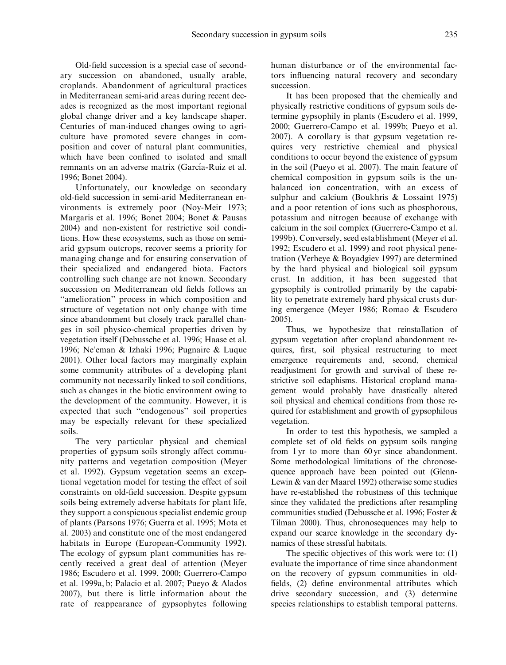Old-field succession is a special case of secondary succession on abandoned, usually arable, croplands. Abandonment of agricultural practices in Mediterranean semi-arid areas during recent decades is recognized as the most important regional global change driver and a key landscape shaper. Centuries of man-induced changes owing to agriculture have promoted severe changes in composition and cover of natural plant communities, which have been confined to isolated and small remnants on an adverse matrix (García-Ruiz et al. 1996; Bonet 2004).

Unfortunately, our knowledge on secondary old-field succession in semi-arid Mediterranean environments is extremely poor (Noy-Meir 1973; Margaris et al. 1996; Bonet 2004; Bonet & Pausas 2004) and non-existent for restrictive soil conditions. How these ecosystems, such as those on semiarid gypsum outcrops, recover seems a priority for managing change and for ensuring conservation of their specialized and endangered biota. Factors controlling such change are not known. Secondary succession on Mediterranean old fields follows an ''amelioration'' process in which composition and structure of vegetation not only change with time since abandonment but closely track parallel changes in soil physico-chemical properties driven by vegetation itself (Debussche et al. 1996; Haase et al. 1996; Ne'eman & Izhaki 1996; Pugnaire & Luque 2001). Other local factors may marginally explain some community attributes of a developing plant community not necessarily linked to soil conditions, such as changes in the biotic environment owing to the development of the community. However, it is expected that such ''endogenous'' soil properties may be especially relevant for these specialized soils.

The very particular physical and chemical properties of gypsum soils strongly affect community patterns and vegetation composition (Meyer et al. 1992). Gypsum vegetation seems an exceptional vegetation model for testing the effect of soil constraints on old-field succession. Despite gypsum soils being extremely adverse habitats for plant life, they support a conspicuous specialist endemic group of plants (Parsons 1976; Guerra et al. 1995; Mota et al. 2003) and constitute one of the most endangered habitats in Europe (European-Community 1992). The ecology of gypsum plant communities has recently received a great deal of attention (Meyer 1986; Escudero et al. 1999, 2000; Guerrero-Campo et al. 1999a, b; Palacio et al. 2007; Pueyo & Alados 2007), but there is little information about the rate of reappearance of gypsophytes following human disturbance or of the environmental factors influencing natural recovery and secondary succession.

It has been proposed that the chemically and physically restrictive conditions of gypsum soils determine gypsophily in plants (Escudero et al. 1999, 2000; Guerrero-Campo et al. 1999b; Pueyo et al. 2007). A corollary is that gypsum vegetation requires very restrictive chemical and physical conditions to occur beyond the existence of gypsum in the soil (Pueyo et al. 2007). The main feature of chemical composition in gypsum soils is the unbalanced ion concentration, with an excess of sulphur and calcium (Boukhris & Lossaint 1975) and a poor retention of ions such as phosphorous, potassium and nitrogen because of exchange with calcium in the soil complex (Guerrero-Campo et al. 1999b). Conversely, seed establishment (Meyer et al. 1992; Escudero et al. 1999) and root physical penetration (Verheye & Boyadgiev 1997) are determined by the hard physical and biological soil gypsum crust. In addition, it has been suggested that gypsophily is controlled primarily by the capability to penetrate extremely hard physical crusts during emergence (Meyer 1986; Romao & Escudero 2005).

Thus, we hypothesize that reinstallation of gypsum vegetation after cropland abandonment requires, first, soil physical restructuring to meet emergence requirements and, second, chemical readjustment for growth and survival of these restrictive soil edaphisms. Historical cropland management would probably have drastically altered soil physical and chemical conditions from those required for establishment and growth of gypsophilous vegetation.

In order to test this hypothesis, we sampled a complete set of old fields on gypsum soils ranging from 1 yr to more than 60 yr since abandonment. Some methodological limitations of the chronosequence approach have been pointed out (Glenn-Lewin & van der Maarel 1992) otherwise some studies have re-established the robustness of this technique since they validated the predictions after resampling communities studied (Debussche et al. 1996; Foster & Tilman 2000). Thus, chronosequences may help to expand our scarce knowledge in the secondary dynamics of these stressful habitats.

The specific objectives of this work were to: (1) evaluate the importance of time since abandonment on the recovery of gypsum communities in oldfields, (2) define environmental attributes which drive secondary succession, and (3) determine species relationships to establish temporal patterns.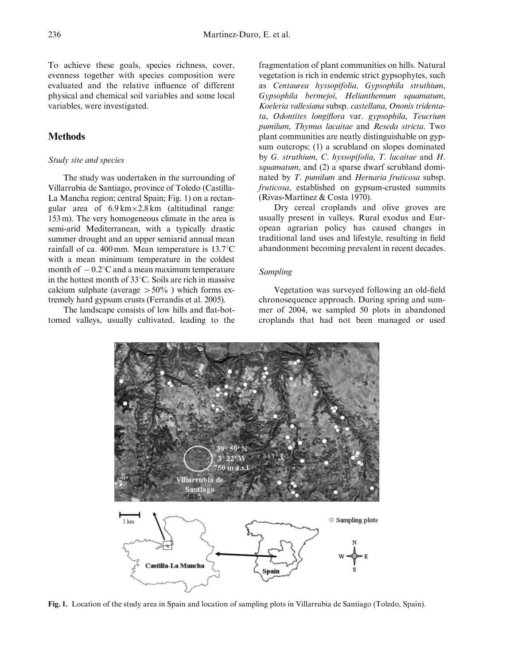To achieve these goals, species richness, cover, evenness together with species composition were evaluated and the relative influence of different physical and chemical soil variables and some local variables, were investigated.

# **Methods**

### Study site and species

The study was undertaken in the surrounding of Villarrubia de Santiago, province of Toledo (Castilla-La Mancha region; central Spain; Fig. 1) on a rectangular area of 6.9 km-2.8 km (altitudinal range: 153 m). The very homogeneous climate in the area is semi-arid Mediterranean, with a typically drastic summer drought and an upper semiarid annual mean rainfall of ca. 400 mm. Mean temperature is  $13.7^{\circ}$ C with a mean minimum temperature in the coldest month of  $-0.2^{\circ}$ C and a mean maximum temperature in the hottest month of  $33^{\circ}$ C. Soils are rich in massive calcium sulphate (average  $>50\%$ ) which forms extremely hard gypsum crusts (Ferrandis et al. 2005).

The landscape consists of low hills and flat-bottomed valleys, usually cultivated, leading to the

fragmentation of plant communities on hills. Natural vegetation is rich in endemic strict gypsophytes, such as Centaurea hyssopifolia, Gypsophila struthium, Gypsophila bermejoi, Helianthemum squamatum, Koeleria vallesiana subsp. castellana, Ononis tridentata, Odontites longiflora var. gypsophila, Teucrium pumilum, Thymus lacaitae and Reseda stricta. Two plant communities are neatly distinguishable on gypsum outcrops: (1) a scrubland on slopes dominated by G. struthium, C. hyssopifolia, T. lacaitae and H. squamatum, and (2) a sparse dwarf scrubland dominated by T. pumilum and Hernaria fruticosa subsp. fruticosa, established on gypsum-crusted summits (Rivas-Martínez & Costa 1970).

Dry cereal croplands and olive groves are usually present in valleys. Rural exodus and European agrarian policy has caused changes in traditional land uses and lifestyle, resulting in field abandonment becoming prevalent in recent decades.

#### Sampling

Vegetation was surveyed following an old-field chronosequence approach. During spring and summer of 2004, we sampled 50 plots in abandoned croplands that had not been managed or used



Fig. 1. Location of the study area in Spain and location of sampling plots in Villarrubia de Santiago (Toledo, Spain).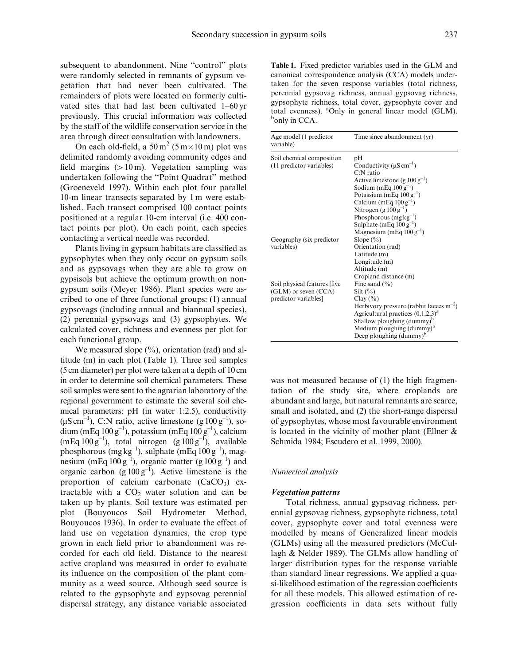subsequent to abandonment. Nine ''control'' plots were randomly selected in remnants of gypsum vegetation that had never been cultivated. The remainders of plots were located on formerly cultivated sites that had last been cultivated 1–60 yr previously. This crucial information was collected by the staff of the wildlife conservation service in the area through direct consultation with landowners.

On each old-field, a  $50 \text{ m}^2 (5 \text{ m} \times 10 \text{ m})$  plot was delimited randomly avoiding community edges and field margins  $(>10 \,\mathrm{m})$ . Vegetation sampling was undertaken following the ''Point Quadrat'' method (Groeneveld 1997). Within each plot four parallel 10-m linear transects separated by 1 m were established. Each transect comprised 100 contact points positioned at a regular 10-cm interval (i.e. 400 contact points per plot). On each point, each species contacting a vertical needle was recorded.

Plants living in gypsum habitats are classified as gypsophytes when they only occur on gypsum soils and as gypsovags when they are able to grow on gypsisols but achieve the optimum growth on nongypsum soils (Meyer 1986). Plant species were ascribed to one of three functional groups: (1) annual gypsovags (including annual and biannual species), (2) perennial gypsovags and (3) gypsophytes. We calculated cover, richness and evenness per plot for each functional group.

We measured slope  $(\frac{9}{6})$ , orientation (rad) and altitude (m) in each plot (Table 1). Three soil samples (5 cm diameter) per plot were taken at a depth of 10 cm in order to determine soil chemical parameters. These soil samples were sent to the agrarian laboratory of the regional government to estimate the several soil chemical parameters: pH (in water 1:2.5), conductivity  $(\mu\text{S cm}^{-1})$ , C:N ratio, active limestone (g  $100 \text{ g}^{-1}$ ), sodium (mEq  $100 \text{ g}^{-1}$ ), potassium (mEq  $100 \text{ g}^{-1}$ ), calcium  $(mEq 100 g<sup>-1</sup>)$ , total nitrogen  $(g 100 g<sup>-1</sup>)$ , available phosphorous (mg kg<sup>-1</sup>), sulphate (mEq  $100 \text{ g}^{-1}$ ), magnesium (mEq  $100 \text{ g}^{-1}$ ), organic matter (g  $100 \text{ g}^{-1}$ ) and organic carbon (g  $100 g^{-1}$ ). Active limestone is the proportion of calcium carbonate  $(CaCO<sub>3</sub>)$  extractable with a  $CO<sub>2</sub>$  water solution and can be taken up by plants. Soil texture was estimated per plot (Bouyoucos Soil Hydrometer Method, Bouyoucos 1936). In order to evaluate the effect of land use on vegetation dynamics, the crop type grown in each field prior to abandonment was recorded for each old field. Distance to the nearest active cropland was measured in order to evaluate its influence on the composition of the plant community as a weed source. Although seed source is related to the gypsophyte and gypsovag perennial dispersal strategy, any distance variable associated

Table 1. Fixed predictor variables used in the GLM and canonical correspondence analysis (CCA) models undertaken for the seven response variables (total richness, perennial gypsovag richness, annual gypsovag richness, gypsophyte richness, total cover, gypsophyte cover and total evenness). <sup>a</sup>Only in general linear model (GLM).<br><sup>b</sup>only in CCA  $^{\rm b}$ only in CCA.

| Age model (1 predictor<br>variable) | Time since abandonment (yr)                                                  |
|-------------------------------------|------------------------------------------------------------------------------|
| Soil chemical composition           | pН                                                                           |
| (11 predictor variables)            | Conductivity ( $\mu$ S cm <sup>-1</sup> )<br>$CY$ ratio                      |
|                                     | Active limestone (g $100 g^{-1}$ )                                           |
|                                     | Sodium (mEq $100 g^{-1}$ )                                                   |
|                                     | Potassium (mEq $100 g^{-1}$ )                                                |
|                                     | Calcium (mEq $100 g^{-1}$ )                                                  |
|                                     | Nitrogen (g $100 g^{-1}$ )                                                   |
|                                     | Phosphorous (mg $kg^{-1}$ )                                                  |
|                                     | Sulphate (mEq $100 g^{-1}$ )                                                 |
|                                     | Magnesium (mEq $100 g^{-1}$ )                                                |
| Geography (six predictor            | Slope $(\% )$                                                                |
| variables)                          | Orientation (rad)                                                            |
|                                     | Latitude (m)                                                                 |
|                                     | Longitude (m)                                                                |
|                                     | Altitude (m)                                                                 |
|                                     | Cropland distance (m)                                                        |
| Soil physical features [five        | Fine sand $(\% )$                                                            |
| (GLM) or seven (CCA)                | Silt $(\% )$                                                                 |
| predictor variables]                | Clay $(\% )$                                                                 |
|                                     | Herbivory pressure (rabbit faeces $m^{-2}$ )                                 |
|                                     | Agricultural practices $(0,1,2,3)^{a}$                                       |
|                                     | Shallow ploughing (dummy) <sup>b</sup>                                       |
|                                     | Medium ploughing (dummy) <sup>b</sup><br>Deep ploughing (dummy) <sup>b</sup> |
|                                     |                                                                              |

was not measured because of (1) the high fragmentation of the study site, where croplands are abundant and large, but natural remnants are scarce, small and isolated, and (2) the short-range dispersal of gypsophytes, whose most favourable environment is located in the vicinity of mother plant (Ellner & Schmida 1984; Escudero et al. 1999, 2000).

#### Numerical analysis

#### Vegetation patterns

Total richness, annual gypsovag richness, perennial gypsovag richness, gypsophyte richness, total cover, gypsophyte cover and total evenness were modelled by means of Generalized linear models (GLMs) using all the measured predictors (McCullagh & Nelder 1989). The GLMs allow handling of larger distribution types for the response variable than standard linear regressions. We applied a quasi-likelihood estimation of the regression coefficients for all these models. This allowed estimation of regression coefficients in data sets without fully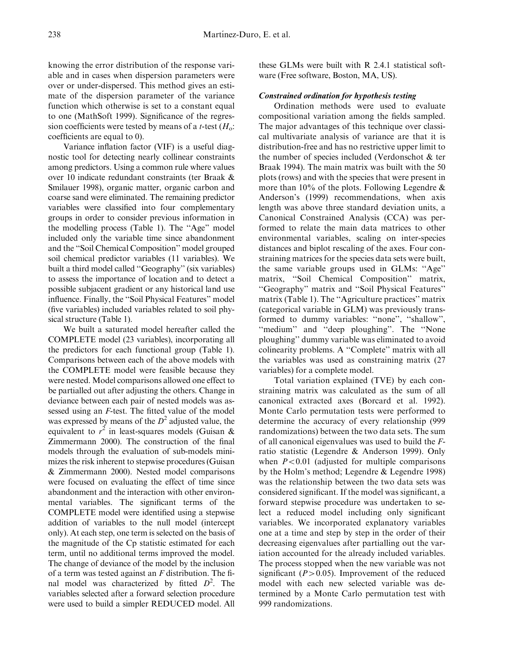knowing the error distribution of the response variable and in cases when dispersion parameters were over or under-dispersed. This method gives an estimate of the dispersion parameter of the variance function which otherwise is set to a constant equal to one (MathSoft 1999). Significance of the regression coefficients were tested by means of a *t*-test  $(H_o)$ : coefficients are equal to 0).

Variance inflation factor (VIF) is a useful diagnostic tool for detecting nearly collinear constraints among predictors. Using a common rule where values over 10 indicate redundant constraints (ter Braak & Smilauer 1998), organic matter, organic carbon and coarse sand were eliminated. The remaining predictor variables were classified into four complementary groups in order to consider previous information in the modelling process (Table 1). The ''Age'' model included only the variable time since abandonment and the ''Soil Chemical Composition'' model grouped soil chemical predictor variables (11 variables). We built a third model called ''Geography'' (six variables) to assess the importance of location and to detect a possible subjacent gradient or any historical land use influence. Finally, the ''Soil Physical Features'' model (five variables) included variables related to soil physical structure (Table 1).

We built a saturated model hereafter called the COMPLETE model (23 variables), incorporating all the predictors for each functional group (Table 1). Comparisons between each of the above models with the COMPLETE model were feasible because they were nested. Model comparisons allowed one effect to be partialled out after adjusting the others. Change in deviance between each pair of nested models was assessed using an F-test. The fitted value of the model was expressed by means of the  $D<sup>2</sup>$  adjusted value, the equivalent to  $r^2$  in least-squares models (Guisan & Zimmermann 2000). The construction of the final models through the evaluation of sub-models minimizes the risk inherent to stepwise procedures (Guisan & Zimmermann 2000). Nested model comparisons were focused on evaluating the effect of time since abandonment and the interaction with other environmental variables. The significant terms of the COMPLETE model were identified using a stepwise addition of variables to the null model (intercept only). At each step, one term is selected on the basis of the magnitude of the Cp statistic estimated for each term, until no additional terms improved the model. The change of deviance of the model by the inclusion of a term was tested against an F distribution. The final model was characterized by fitted  $D^2$ . The variables selected after a forward selection procedure were used to build a simpler REDUCED model. All

these GLMs were built with R 2.4.1 statistical software (Free software, Boston, MA, US).

### Constrained ordination for hypothesis testing

Ordination methods were used to evaluate compositional variation among the fields sampled. The major advantages of this technique over classical multivariate analysis of variance are that it is distribution-free and has no restrictive upper limit to the number of species included (Verdonschot & ter Braak 1994). The main matrix was built with the 50 plots (rows) and with the species that were present in more than 10% of the plots. Following Legendre & Anderson's (1999) recommendations, when axis length was above three standard deviation units, a Canonical Constrained Analysis (CCA) was performed to relate the main data matrices to other environmental variables, scaling on inter-species distances and biplot rescaling of the axes. Four constraining matrices for the species data sets were built, the same variable groups used in GLMs: ''Age'' matrix, "Soil Chemical Composition" matrix, ''Geography'' matrix and ''Soil Physical Features'' matrix (Table 1). The ''Agriculture practices'' matrix (categorical variable in GLM) was previously transformed to dummy variables: ''none'', ''shallow'', ''medium'' and ''deep ploughing''. The ''None ploughing'' dummy variable was eliminated to avoid colinearity problems. A ''Complete'' matrix with all the variables was used as constraining matrix (27 variables) for a complete model.

Total variation explained (TVE) by each constraining matrix was calculated as the sum of all canonical extracted axes (Borcard et al. 1992). Monte Carlo permutation tests were performed to determine the accuracy of every relationship (999 randomizations) between the two data sets. The sum of all canonical eigenvalues was used to build the Fratio statistic (Legendre & Anderson 1999). Only when  $P < 0.01$  (adjusted for multiple comparisons by the Holm's method; Legendre & Legendre 1998) was the relationship between the two data sets was considered significant. If the model was significant, a forward stepwise procedure was undertaken to select a reduced model including only significant variables. We incorporated explanatory variables one at a time and step by step in the order of their decreasing eigenvalues after partialling out the variation accounted for the already included variables. The process stopped when the new variable was not significant ( $P > 0.05$ ). Improvement of the reduced model with each new selected variable was determined by a Monte Carlo permutation test with 999 randomizations.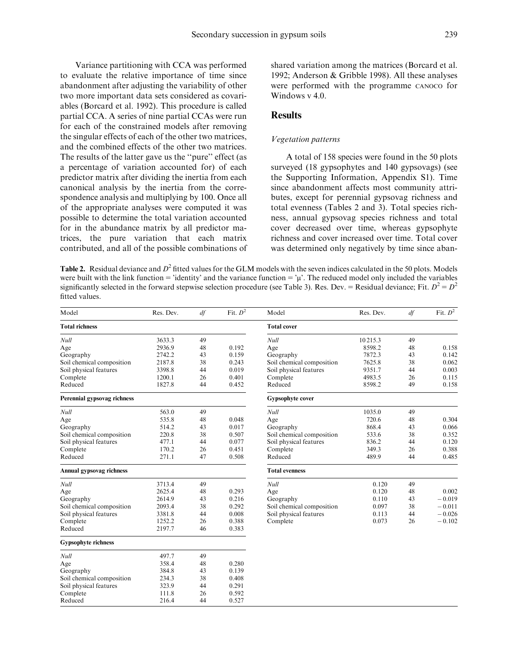Variance partitioning with CCA was performed to evaluate the relative importance of time since abandonment after adjusting the variability of other two more important data sets considered as covariables (Borcard et al. 1992). This procedure is called partial CCA. A series of nine partial CCAs were run for each of the constrained models after removing the singular effects of each of the other two matrices, and the combined effects of the other two matrices. The results of the latter gave us the ''pure'' effect (as a percentage of variation accounted for) of each predictor matrix after dividing the inertia from each canonical analysis by the inertia from the correspondence analysis and multiplying by 100. Once all of the appropriate analyses were computed it was possible to determine the total variation accounted for in the abundance matrix by all predictor matrices, the pure variation that each matrix contributed, and all of the possible combinations of shared variation among the matrices (Borcard et al. 1992; Anderson & Gribble 1998). All these analyses were performed with the programme CANOCO for Windows v 4.0.

# **Results**

### Vegetation patterns

A total of 158 species were found in the 50 plots surveyed (18 gypsophytes and 140 gypsovags) (see the Supporting Information, Appendix S1). Time since abandonment affects most community attributes, except for perennial gypsovag richness and total evenness (Tables 2 and 3). Total species richness, annual gypsovag species richness and total cover decreased over time, whereas gypsophyte richness and cover increased over time. Total cover was determined only negatively by time since aban-

**Table 2.** Residual deviance and  $D^2$  fitted values for the GLM models with the seven indices calculated in the 50 plots. Models were built with the link function = 'identity' and the variance function =  $\mu$ '. The reduced model only included the variables significantly selected in the forward stepwise selection procedure (see Table 3). Res. Dev. = Residual deviance; Fit.  $D^2 = D^2$ fitted values.

| Model                       | Res. Dev. | df | Fit. $D^2$ | Model                     | Res. Dev. | df | Fit. $\mathbb{D}^2$ |  |  |
|-----------------------------|-----------|----|------------|---------------------------|-----------|----|---------------------|--|--|
| <b>Total richness</b>       |           |    |            | <b>Total cover</b>        |           |    |                     |  |  |
| <b>Null</b>                 | 3633.3    | 49 |            | <b>Null</b>               | 10215.3   | 49 |                     |  |  |
| Age                         | 2936.9    | 48 | 0.192      | Age                       | 8598.2    | 48 | 0.158               |  |  |
| Geography                   | 2742.2    | 43 | 0.159      | Geography                 | 7872.3    | 43 | 0.142               |  |  |
| Soil chemical composition   | 2187.8    | 38 | 0.243      | Soil chemical composition | 7625.8    | 38 | 0.062               |  |  |
| Soil physical features      | 3398.8    | 44 | 0.019      | Soil physical features    | 9351.7    | 44 | 0.003               |  |  |
| Complete                    | 1200.1    | 26 | 0.401      | Complete                  | 4983.5    | 26 | 0.115               |  |  |
| Reduced                     | 1827.8    | 44 | 0.452      | Reduced                   | 8598.2    | 49 | 0.158               |  |  |
| Perennial gypsovag richness |           |    |            | Gypsophyte cover          |           |    |                     |  |  |
| <b>Null</b>                 | 563.0     | 49 |            | <b>Null</b>               | 1035.0    | 49 |                     |  |  |
| Age                         | 535.8     | 48 | 0.048      | Age                       | 720.6     | 48 | 0.304               |  |  |
| Geography                   | 514.2     | 43 | 0.017      | Geography                 | 868.4     | 43 | 0.066               |  |  |
| Soil chemical composition   | 220.8     | 38 | 0.507      | Soil chemical composition | 533.6     | 38 | 0.352               |  |  |
| Soil physical features      | 477.1     | 44 | 0.077      | Soil physical features    | 836.2     | 44 | 0.120               |  |  |
| Complete                    | 170.2     | 26 | 0.451      | Complete                  | 349.3     | 26 | 0.388               |  |  |
| Reduced                     | 271.1     | 47 | 0.508      | Reduced                   | 489.9     | 44 | 0.485               |  |  |
| Annual gypsovag richness    |           |    |            | <b>Total evenness</b>     |           |    |                     |  |  |
| <b>Null</b>                 | 3713.4    | 49 |            | <b>Null</b>               | 0.120     | 49 |                     |  |  |
| Age                         | 2625.4    | 48 | 0.293      | Age                       | 0.120     | 48 | 0.002               |  |  |
| Geography                   | 2614.9    | 43 | 0.216      | Geography                 | 0.110     | 43 | $-0.019$            |  |  |
| Soil chemical composition   | 2093.4    | 38 | 0.292      | Soil chemical composition | 0.097     | 38 | $-0.011$            |  |  |
| Soil physical features      | 3381.8    | 44 | 0.008      | Soil physical features    | 0.113     | 44 | $-0.026$            |  |  |
| Complete                    | 1252.2    | 26 | 0.388      | Complete                  | 0.073     | 26 | $-0.102$            |  |  |
| Reduced                     | 2197.7    | 46 | 0.383      |                           |           |    |                     |  |  |
| <b>Gypsophyte richness</b>  |           |    |            |                           |           |    |                     |  |  |
| <b>Null</b>                 | 497.7     | 49 |            |                           |           |    |                     |  |  |
| Age                         | 358.4     | 48 | 0.280      |                           |           |    |                     |  |  |
| Geography                   | 384.8     | 43 | 0.139      |                           |           |    |                     |  |  |
| Soil chemical composition   | 234.3     | 38 | 0.408      |                           |           |    |                     |  |  |
| Soil physical features      | 323.9     | 44 | 0.291      |                           |           |    |                     |  |  |
| Complete                    | 111.8     | 26 | 0.592      |                           |           |    |                     |  |  |
| Reduced                     | 216.4     | 44 | 0.527      |                           |           |    |                     |  |  |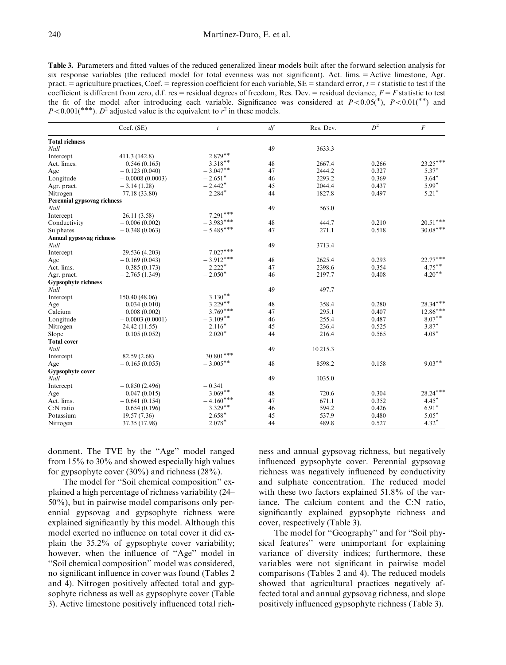Table 3. Parameters and fitted values of the reduced generalized linear models built after the forward selection analysis for six response variables (the reduced model for total evenness was not significant). Act. lims. = Active limestone, Agr. pract.  $=$  agriculture practices, Coef.  $=$  regression coefficient for each variable, SE  $=$  standard error,  $t = t$  statistic to test if the coefficient is different from zero, d.f. res = residual degrees of freedom, Res. Dev. = residual deviance,  $F = F$  statistic to test the fit of the model after introducing each variable. Significance was considered at  $P < 0.05$ (\*),  $P < 0.01$ (\*\*) and  $P < 0.001$ (\*\*\*). D<sup>2</sup> adjusted value is the equivalent to  $r^2$  in these models.

|                             | Coef. (SE)        | $\boldsymbol{t}$ | df | Res. Dev. | $D^2$ | $\cal F$   |
|-----------------------------|-------------------|------------------|----|-----------|-------|------------|
| <b>Total richness</b>       |                   |                  |    |           |       |            |
| Null                        |                   |                  | 49 | 3633.3    |       |            |
| Intercept                   | 411.3 (142.8)     | $2.879**$        |    |           |       |            |
| Act. limes.                 | 0.546(0.165)      | $3.318***$       | 48 | 2667.4    | 0.266 | $23.25***$ |
| Age                         | $-0.123(0.040)$   | $-3.047**$       | 47 | 2444.2    | 0.327 | $5.37*$    |
| Longitude                   | $-0.0008(0.0003)$ | $-2.651*$        | 46 | 2293.2    | 0.369 | $3.64*$    |
| Agr. pract.                 | $-3.14(1.28)$     | $-2.442*$        | 45 | 2044.4    | 0.437 | $5.99*$    |
| Nitrogen                    | 77.18 (33.80)     | $2.284*$         | 44 | 1827.8    | 0.497 | $5.21*$    |
| Perennial gypsovag richness |                   |                  |    |           |       |            |
| Null                        |                   |                  | 49 | 563.0     |       |            |
| Intercept                   | 26.11 (3.58)      | $7.291***$       |    |           |       |            |
| Conductivity                | $-0.006(0.002)$   | $-3.983***$      | 48 | 444.7     | 0.210 | $20.51***$ |
| Sulphates                   | $-0.348(0.063)$   | $-5.485***$      | 47 | 271.1     | 0.518 | $30.08***$ |
| Annual gypsovag richness    |                   |                  |    |           |       |            |
| Null                        |                   |                  | 49 | 3713.4    |       |            |
| Intercept                   | 29.536 (4.203)    | $7.027***$       |    |           |       |            |
| Age                         | $-0.169(0.043)$   | $-3.912***$      | 48 | 2625.4    | 0.293 | $22.77***$ |
| Act. lims.                  | 0.385(0.173)      | $2.222*$         | 47 | 2398.6    | 0.354 | $4.75***$  |
| Agr. pract.                 | $-2.765(1.349)$   | $-2.050*$        | 46 | 2197.7    | 0.408 | $4.20**$   |
| <b>Gypsophyte richness</b>  |                   |                  |    |           |       |            |
| <b>Null</b>                 |                   |                  | 49 | 497.7     |       |            |
| Intercept                   | 150.40 (48.06)    | $3.130***$       |    |           |       |            |
| Age                         | 0.034(0.010)      | $3.229**$        | 48 | 358.4     | 0.280 | 28.34***   |
| Calcium                     | 0.008(0.002)      | $3.769***$       | 47 | 295.1     | 0.407 | $12.86***$ |
| Longitude                   | $-0.0003(0.0001)$ | $-3.109***$      | 46 | 255.4     | 0.487 | $8.07***$  |
| Nitrogen                    | 24.42 (11.55)     | $2.116*$         | 45 | 236.4     | 0.525 | $3.87*$    |
| Slope                       | 0.105(0.052)      | $2.020*$         | 44 | 216.4     | 0.565 | $4.08*$    |
| <b>Total cover</b>          |                   |                  |    |           |       |            |
| Null                        |                   |                  | 49 | 10215.3   |       |            |
| Intercept                   | 82.59 (2.68)      | $30.801***$      |    |           |       |            |
| Age                         | $-0.165(0.055)$   | $-3.005**$       | 48 | 8598.2    | 0.158 | $9.03**$   |
| Gypsophyte cover            |                   |                  |    |           |       |            |
| Null                        |                   |                  | 49 | 1035.0    |       |            |
| Intercept                   | $-0.850(2.496)$   | $-0.341$         |    |           |       |            |
| Age                         | 0.047(0.015)      | $3.069**$        | 48 | 720.6     | 0.304 | 28.24***   |
| Act. lims.                  | $-0.641(0.154)$   | $-4.160***$      | 47 | 671.1     | 0.352 | $4.45*$    |
| $C:$ N ratio                | 0.654(0.196)      | $3.329***$       | 46 | 594.2     | 0.426 | $6.91*$    |
| Potassium                   | 19.57 (7.36)      | $2.658*$         | 45 | 537.9     | 0.480 | $5.05*$    |
| Nitrogen                    | 37.35 (17.98)     | $2.078*$         | 44 | 489.8     | 0.527 | $4.32*$    |

donment. The TVE by the ''Age'' model ranged from 15% to 30% and showed especially high values for gypsophyte cover  $(30\%)$  and richness  $(28\%)$ .

The model for ''Soil chemical composition'' explained a high percentage of richness variability (24– 50%), but in pairwise model comparisons only perennial gypsovag and gypsophyte richness were explained significantly by this model. Although this model exerted no influence on total cover it did explain the 35.2% of gypsophyte cover variability; however, when the influence of "Age" model in ''Soil chemical composition'' model was considered, no significant influence in cover was found (Tables 2 and 4). Nitrogen positively affected total and gypsophyte richness as well as gypsophyte cover (Table 3). Active limestone positively influenced total richness and annual gypsovag richness, but negatively influenced gypsophyte cover. Perennial gypsovag richness was negatively influenced by conductivity and sulphate concentration. The reduced model with these two factors explained 51.8% of the variance. The calcium content and the C:N ratio, significantly explained gypsophyte richness and cover, respectively (Table 3).

The model for ''Geography'' and for ''Soil physical features'' were unimportant for explaining variance of diversity indices; furthermore, these variables were not significant in pairwise model comparisons (Tables 2 and 4). The reduced models showed that agricultural practices negatively affected total and annual gypsovag richness, and slope positively influenced gypsophyte richness (Table 3).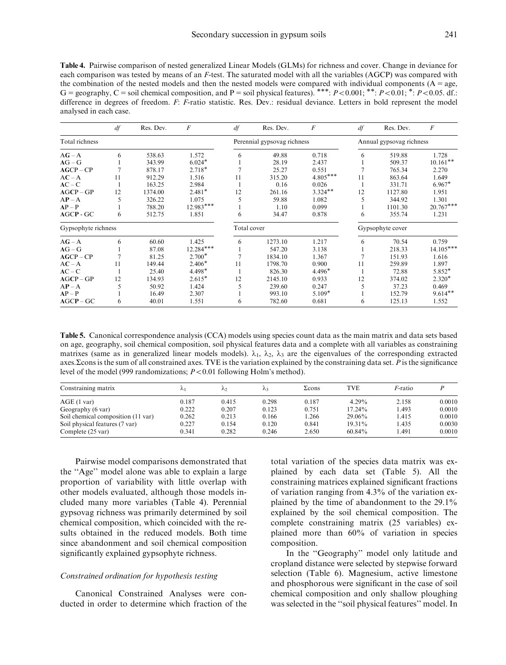Table 4. Pairwise comparison of nested generalized Linear Models (GLMs) for richness and cover. Change in deviance for each comparison was tested by means of an F-test. The saturated model with all the variables (AGCP) was compared with the combination of the nested models and then the nested models were compared with individual components  $(A = age,$ G = geography, C = soil chemical composition, and P = soil physical features). \*\*\*:  $P < 0.001$ ; \*\*:  $P < 0.01$ ; \*.  $P < 0.05$ . df.: difference in degrees of freedom. F: F-ratio statistic. Res. Dev.: residual deviance. Letters in bold represent the model analysed in each case.

|                     | df | Res. Dev. | F           | df | Res. Dev.                   | F                | df                       | Res. Dev. | $\boldsymbol{F}$ |
|---------------------|----|-----------|-------------|----|-----------------------------|------------------|--------------------------|-----------|------------------|
| Total richness      |    |           |             |    | Perennial gypsovag richness |                  | Annual gypsovag richness |           |                  |
| $AG - A$            | 6  | 538.63    | 1.572       | 6  | 49.88                       | 0.718            | 6                        | 519.88    | 1.728            |
| $AG - G$            |    | 343.99    | $6.024*$    |    | 28.19                       | 2.437            |                          | 509.37    | $10.161***$      |
| $AGCP - CP$         |    | 878.17    | $2.718*$    |    | 25.27                       | 0.551            |                          | 765.34    | 2.270            |
| $AC - A$            | 11 | 912.29    | 1.516       | 11 | 315.20                      | $4.805***$       | 11                       | 863.64    | 1.649            |
| $AC - C$            |    | 163.25    | 2.984       |    | 0.16                        | 0.026            |                          | 331.71    | $6.967*$         |
| $AGCP - GP$         | 12 | 1374.00   | $2.481*$    | 12 | 261.16                      | $3.324***$       | 12                       | 1127.80   | 1.951            |
| $AP - A$            |    | 326.22    | 1.075       |    | 59.88                       | 1.082            |                          | 344.92    | 1.301            |
| $AP - P$            |    | 788.20    | $12.983***$ |    | 1.10                        | 0.099            |                          | 1101.30   | $20.767***$      |
| AGCP-GC             | 6  | 512.75    | 1.851       | 6  | 34.47                       | 0.878            | 6                        | 355.74    | 1.231            |
| Gypsophyte richness |    |           | Total cover |    |                             | Gypsophyte cover |                          |           |                  |
| $AG - A$            | 6  | 60.60     | 1.425       | 6  | 1273.10                     | 1.217            | 6                        | 70.54     | 0.759            |
| $AG - G$            |    | 87.08     | $12.284***$ |    | 547.20                      | 3.138            |                          | 218.33    | $14.105***$      |
| $AGCP - CP$         |    | 81.25     | $2.700*$    |    | 1834.10                     | 1.367            |                          | 151.93    | 1.616            |
| $AC - A$            | 11 | 149.44    | $2.406*$    | 11 | 1798.70                     | 0.900            | 11                       | 259.89    | 1.897            |
| $AC - C$            |    | 25.40     | 4.498*      |    | 826.30                      | 4.496*           |                          | 72.88     | 5.852*           |
| $AGCP - GP$         | 12 | 134.93    | $2.615*$    | 12 | 2145.10                     | 0.933            | 12                       | 374.02    | $2.320*$         |
| $AP - A$            |    | 50.92     | 1.424       |    | 239.60                      | 0.247            |                          | 37.23     | 0.469            |
| $AP - P$            |    | 16.49     | 2.307       |    | 993.10                      | $5.109*$         |                          | 152.79    | $9.614***$       |
| $AGCP - GC$         | 6  | 40.01     | 1.551       | 6  | 782.60                      | 0.681            | 6                        | 125.13    | 1.552            |

Table 5. Canonical correspondence analysis (CCA) models using species count data as the main matrix and data sets based on age, geography, soil chemical composition, soil physical features data and a complete with all variables as constraining matrixes (same as in generalized linear models models).  $\lambda_1$ ,  $\lambda_2$ ,  $\lambda_3$  are the eigenvalues of the corresponding extracted axes. Econs is the sum of all constrained axes. TVE is the variation explained by the constraining data set.  $P$  is the significance level of the model (999 randomizations;  $P < 0.01$  following Holm's method).

| Constraining matrix                | $\sim$ | $\Lambda$ | Λ,    | $\Sigma$ cons | <b>TVE</b> | F-ratio |        |
|------------------------------------|--------|-----------|-------|---------------|------------|---------|--------|
| AGE(1 var)                         | 0.187  | 0.415     | 0.298 | 0.187         | $4.29\%$   | 2.158   | 0.0010 |
| Geography (6 var)                  | 0.222  | 0.207     | 0.123 | 0.751         | 17.24%     | 1.493   | 0.0010 |
| Soil chemical composition (11 var) | 0.262  | 0.213     | 0.166 | .266          | 29.06%     | 1.415   | 0.0010 |
| Soil physical features (7 var)     | 0.227  | 0.154     | 0.120 | 0.841         | 19.31%     | 1.435   | 0.0030 |
| Complete (25 var)                  | 0.341  | 0.282     | 0.246 | 2.650         | 60.84%     | . 491   | 0.0010 |

Pairwise model comparisons demonstrated that the ''Age'' model alone was able to explain a large proportion of variability with little overlap with other models evaluated, although those models included many more variables (Table 4). Perennial gypsovag richness was primarily determined by soil chemical composition, which coincided with the results obtained in the reduced models. Both time since abandonment and soil chemical composition significantly explained gypsophyte richness.

### Constrained ordination for hypothesis testing

Canonical Constrained Analyses were conducted in order to determine which fraction of the total variation of the species data matrix was explained by each data set (Table 5). All the constraining matrices explained significant fractions of variation ranging from 4.3% of the variation explained by the time of abandonment to the 29.1% explained by the soil chemical composition. The complete constraining matrix (25 variables) explained more than 60% of variation in species composition.

In the ''Geography'' model only latitude and cropland distance were selected by stepwise forward selection (Table 6). Magnesium, active limestone and phosphorous were significant in the case of soil chemical composition and only shallow ploughing was selected in the ''soil physical features'' model. In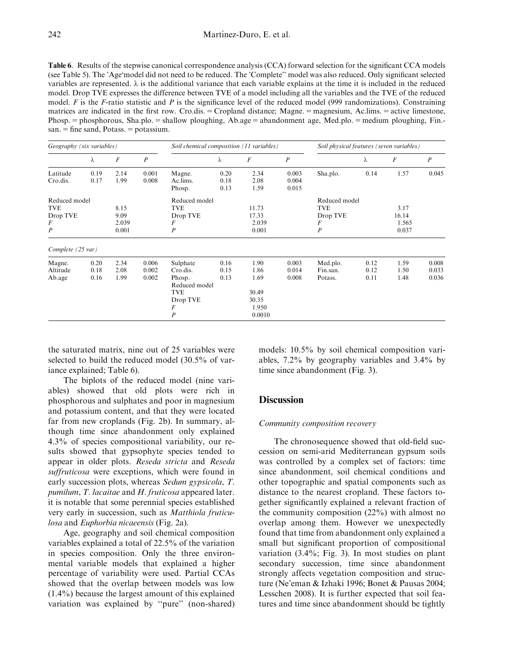| <b>Table 6.</b> Results of the stepwise canonical correspondence analysis (CCA) forward selection for the significant CCA models      |
|---------------------------------------------------------------------------------------------------------------------------------------|
| (see Table 5). The 'Age' model did not need to be reduced. The 'Complete' model was also reduced. Only significant selected           |
| variables are represented. $\lambda$ is the additional variance that each variable explains at the time it is included in the reduced |
| model. Drop TVE expresses the difference between TVE of a model including all the variables and the TVE of the reduced                |
| model. F is the F-ratio statistic and P is the significance level of the reduced model (999 randomizations). Constraining             |
| matrices are indicated in the first row. Cro.dis. = Cropland distance; Magne. = magnesium, Ac.lims. = active limestone,               |
| Phosp. = phosphorous, Sha.plo. = shallow ploughing, Ab.age = abandonment age, Med.plo. = medium ploughing, Fin.-                      |
| $san. = fine$ sand, Potass. = potassium.                                                                                              |
|                                                                                                                                       |

| Geography (six variables) |      |                  | Soil chemical composition (11 variables) |                  |      |                  | Soil physical features (seven variables) |                  |      |                  |                  |
|---------------------------|------|------------------|------------------------------------------|------------------|------|------------------|------------------------------------------|------------------|------|------------------|------------------|
|                           | λ    | $\boldsymbol{F}$ | $\boldsymbol{P}$                         |                  | λ    | $\boldsymbol{F}$ | $\boldsymbol{P}$                         |                  | λ    | $\boldsymbol{F}$ | $\boldsymbol{P}$ |
| Latitude                  | 0.19 | 2.14             | 0.001                                    | Magne.           | 0.20 | 2.34             | 0.003                                    | Sha.plo.         | 0.14 | 1.57             | 0.045            |
| Cro.dis.                  | 0.17 | 1.99             | 0.008                                    | Ac.lims.         | 0.18 | 2.08             | 0.004                                    |                  |      |                  |                  |
|                           |      |                  |                                          | Phosp.           | 0.13 | 1.59             | 0.015                                    |                  |      |                  |                  |
| Reduced model             |      |                  |                                          | Reduced model    |      |                  |                                          | Reduced model    |      |                  |                  |
| <b>TVE</b>                |      | 8.15             |                                          | <b>TVE</b>       |      | 11.73            |                                          | TVE              |      | 3.17             |                  |
| Drop TVE                  |      | 9.09             |                                          | Drop TVE         |      | 17.33            |                                          | Drop TVE         |      | 16.14            |                  |
| F                         |      | 2.039            |                                          | F                |      | 2.039            |                                          | F                |      | 1.565            |                  |
| $\boldsymbol{P}$          |      | 0.001            |                                          | $\boldsymbol{P}$ |      | 0.001            |                                          | $\boldsymbol{P}$ |      | 0.037            |                  |
| Complete (25 var)         |      |                  |                                          |                  |      |                  |                                          |                  |      |                  |                  |
| Magne.                    | 0.20 | 2.34             | 0.006                                    | Sulphate         | 0.16 | 1.90             | 0.003                                    | Med.plo.         | 0.12 | 1.59             | 0.008            |
| Altitude                  | 0.18 | 2.08             | 0.002                                    | Cro.dis.         | 0.15 | 1.86             | 0.014                                    | Fin.san.         | 0.12 | 1.50             | 0.033            |
| Ab.age                    | 0.16 | 1.99             | 0.002                                    | Phosp.           | 0.13 | 1.69             | 0.008                                    | Potass.          | 0.11 | 1.48             | 0.036            |
|                           |      |                  |                                          | Reduced model    |      |                  |                                          |                  |      |                  |                  |
|                           |      |                  |                                          | <b>TVE</b>       |      | 30.49            |                                          |                  |      |                  |                  |
|                           |      |                  |                                          | Drop TVE         |      | 30.35            |                                          |                  |      |                  |                  |
|                           |      |                  |                                          | F                |      | 1.950            |                                          |                  |      |                  |                  |
|                           |      |                  |                                          | $\boldsymbol{P}$ |      | 0.0010           |                                          |                  |      |                  |                  |

the saturated matrix, nine out of 25 variables were selected to build the reduced model (30.5% of variance explained; Table 6).

The biplots of the reduced model (nine variables) showed that old plots were rich in phosphorous and sulphates and poor in magnesium and potassium content, and that they were located far from new croplands (Fig. 2b). In summary, although time since abandonment only explained 4.3% of species compositional variability, our results showed that gypsophyte species tended to appear in older plots. Reseda stricta and Reseda suffruticosa were exceptions, which were found in early succession plots, whereas Sedum gypsicola, T. pumilum, T. lacaitae and H. fruticosa appeared later. it is notable that some perennial species established very early in succession, such as Matthiola fruticulosa and Euphorbia nicaeensis (Fig. 2a).

Age, geography and soil chemical composition variables explained a total of 22.5% of the variation in species composition. Only the three environmental variable models that explained a higher percentage of variability were used. Partial CCAs showed that the overlap between models was low (1.4%) because the largest amount of this explained variation was explained by ''pure'' (non-shared) models: 10.5% by soil chemical composition variables, 7.2% by geography variables and 3.4% by time since abandonment (Fig. 3).

### **Discussion**

#### Community composition recovery

The chronosequence showed that old-field succession on semi-arid Mediterranean gypsum soils was controlled by a complex set of factors: time since abandonment, soil chemical conditions and other topographic and spatial components such as distance to the nearest cropland. These factors together significantly explained a relevant fraction of the community composition (22%) with almost no overlap among them. However we unexpectedly found that time from abandonment only explained a small but significant proportion of compositional variation (3.4%; Fig. 3). In most studies on plant secondary succession, time since abandonment strongly affects vegetation composition and structure (Ne'eman & Izhaki 1996; Bonet & Pausas 2004; Lesschen 2008). It is further expected that soil features and time since abandonment should be tightly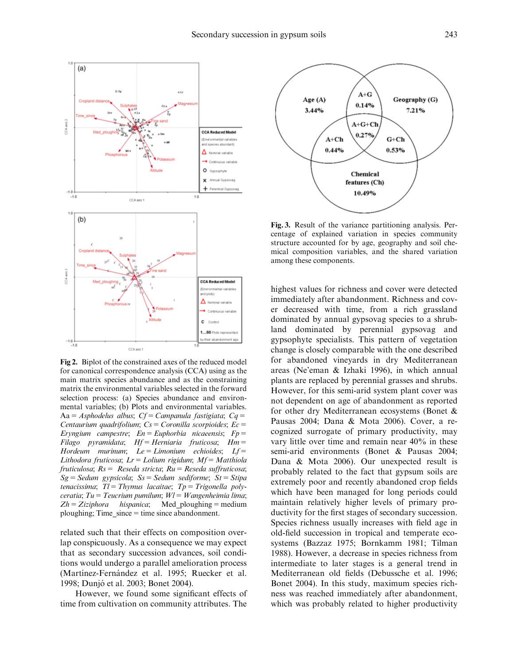

Fig 2. Biplot of the constrained axes of the reduced model for canonical correspondence analysis (CCA) using as the main matrix species abundance and as the constraining matrix the environmental variables selected in the forward selection process: (a) Species abundance and environmental variables; (b) Plots and environmental variables. Aa = Asphodelus albus; Cf = Campanula fastigiata; Cq = Centaurium quadrifolium;  $Cs = Coronilla$  scorpioides;  $Ec =$ Eryngium campestre; En = Euphorbia nicaeensis; Fp = Filago pyramidata;  $Hf = Herniaria$  fruticosa;  $Hm =$ Hordeum murinum;  $Le = Limonium$  echioides;  $Lf =$ Lithodora fruticosa;  $Lr =$  Lolium rigidum;  $Mf =$ Mathiolafruticulosa;  $Rs = Reseda$  stricta;  $Ru = Reseda$  suffruticosa;  $Sg = Sedum gypsicola$ ;  $Ss = Sedum sediforme$ ;  $St = Stipa$ tenacissima;  $T = Thymus$  lacaitae;  $Tp = Trigonella$  polyceratia; Tu = Teucrium pumilum;  $Wl = W$ angenheimia lima;  $Zh = Ziziphora$  hispanica; Med ploughing = medium ploughing;  $Time\_since = time since$  abandonment.

related such that their effects on composition overlap conspicuously. As a consequence we may expect that as secondary succession advances, soil conditions would undergo a parallel amelioration process (Martinez-Fernández et al. 1995; Ruecker et al. 1998; Dunjó et al. 2003; Bonet 2004).

However, we found some significant effects of time from cultivation on community attributes. The



Fig. 3. Result of the variance partitioning analysis. Percentage of explained variation in species community structure accounted for by age, geography and soil chemical composition variables, and the shared variation among these components.

highest values for richness and cover were detected immediately after abandonment. Richness and cover decreased with time, from a rich grassland dominated by annual gypsovag species to a shrubland dominated by perennial gypsovag and gypsophyte specialists. This pattern of vegetation change is closely comparable with the one described for abandoned vineyards in dry Mediterranean areas (Ne'eman & Izhaki 1996), in which annual plants are replaced by perennial grasses and shrubs. However, for this semi-arid system plant cover was not dependent on age of abandonment as reported for other dry Mediterranean ecosystems (Bonet & Pausas 2004; Dana & Mota 2006). Cover, a recognized surrogate of primary productivity, may vary little over time and remain near 40% in these semi-arid environments (Bonet & Pausas 2004; Dana & Mota 2006). Our unexpected result is probably related to the fact that gypsum soils are extremely poor and recently abandoned crop fields which have been managed for long periods could maintain relatively higher levels of primary productivity for the first stages of secondary succession. Species richness usually increases with field age in old-field succession in tropical and temperate ecosystems (Bazzaz 1975; Bornkamm 1981; Tilman 1988). However, a decrease in species richness from intermediate to later stages is a general trend in Mediterranean old fields (Debussche et al. 1996; Bonet 2004). In this study, maximum species richness was reached immediately after abandonment, which was probably related to higher productivity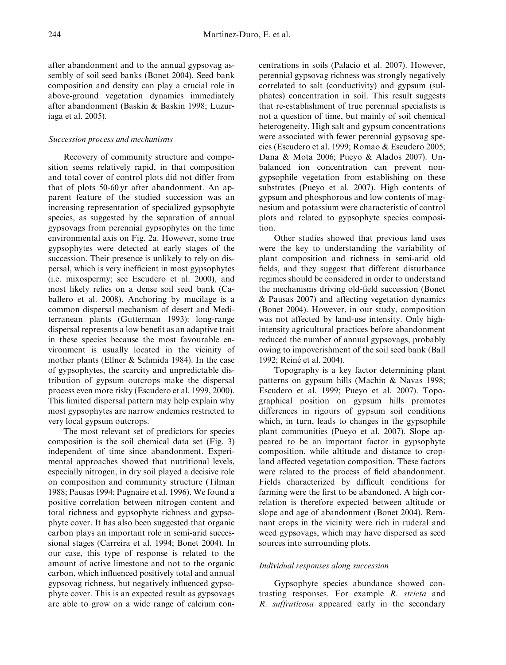after abandonment and to the annual gypsovag assembly of soil seed banks (Bonet 2004). Seed bank composition and density can play a crucial role in above-ground vegetation dynamics immediately after abandonment (Baskin & Baskin 1998; Luzuriaga et al. 2005).

### Succession process and mechanisms

Recovery of community structure and composition seems relatively rapid, in that composition and total cover of control plots did not differ from that of plots 50-60 yr after abandonment. An apparent feature of the studied succession was an increasing representation of specialized gypsophyte species, as suggested by the separation of annual gypsovags from perennial gypsophytes on the time environmental axis on Fig. 2a. However, some true gypsophytes were detected at early stages of the succession. Their presence is unlikely to rely on dispersal, which is very inefficient in most gypsophytes (i.e. mixospermy; see Escudero et al. 2000), and most likely relies on a dense soil seed bank (Caballero et al. 2008). Anchoring by mucilage is a common dispersal mechanism of desert and Mediterranean plants (Gutterman 1993): long-range dispersal represents a low benefit as an adaptive trait in these species because the most favourable environment is usually located in the vicinity of mother plants (Ellner & Schmida 1984). In the case of gypsophytes, the scarcity and unpredictable distribution of gypsum outcrops make the dispersal process even more risky (Escudero et al. 1999, 2000). This limited dispersal pattern may help explain why most gypsophytes are narrow endemics restricted to very local gypsum outcrops.

The most relevant set of predictors for species composition is the soil chemical data set (Fig. 3) independent of time since abandonment. Experimental approaches showed that nutritional levels, especially nitrogen, in dry soil played a decisive role on composition and community structure (Tilman 1988; Pausas 1994; Pugnaire et al. 1996). We found a positive correlation between nitrogen content and total richness and gypsophyte richness and gypsophyte cover. It has also been suggested that organic carbon plays an important role in semi-arid successional stages (Carreira et al. 1994; Bonet 2004). In our case, this type of response is related to the amount of active limestone and not to the organic carbon, which influenced positively total and annual gypsovag richness, but negatively influenced gypsophyte cover. This is an expected result as gypsovags are able to grow on a wide range of calcium concentrations in soils (Palacio et al. 2007). However, perennial gypsovag richness was strongly negatively correlated to salt (conductivity) and gypsum (sulphates) concentration in soil. This result suggests that re-establishment of true perennial specialists is not a question of time, but mainly of soil chemical heterogeneity. High salt and gypsum concentrations were associated with fewer perennial gypsovag species (Escudero et al. 1999; Romao & Escudero 2005; Dana & Mota 2006; Pueyo & Alados 2007). Unbalanced ion concentration can prevent nongypsophile vegetation from establishing on these substrates (Pueyo et al. 2007). High contents of gypsum and phosphorous and low contents of magnesium and potassium were characteristic of control plots and related to gypsophyte species composition.

Other studies showed that previous land uses were the key to understanding the variability of plant composition and richness in semi-arid old fields, and they suggest that different disturbance regimes should be considered in order to understand the mechanisms driving old-field succession (Bonet & Pausas 2007) and affecting vegetation dynamics (Bonet 2004). However, in our study, composition was not affected by land-use intensity. Only highintensity agricultural practices before abandonment reduced the number of annual gypsovags, probably owing to impoverishment of the soil seed bank (Ball 1992; Reiné et al. 2004).

Topography is a key factor determining plant patterns on gypsum hills (Machin & Navas 1998; Escudero et al. 1999; Pueyo et al. 2007). Topographical position on gypsum hills promotes differences in rigours of gypsum soil conditions which, in turn, leads to changes in the gypsophile plant communities (Pueyo et al. 2007). Slope appeared to be an important factor in gypsophyte composition, while altitude and distance to cropland affected vegetation composition. These factors were related to the process of field abandonment. Fields characterized by difficult conditions for farming were the first to be abandoned. A high correlation is therefore expected between altitude or slope and age of abandonment (Bonet 2004). Remnant crops in the vicinity were rich in ruderal and weed gypsovags, which may have dispersed as seed sources into surrounding plots.

#### Individual responses along succession

Gypsophyte species abundance showed contrasting responses. For example R. stricta and R. suffruticosa appeared early in the secondary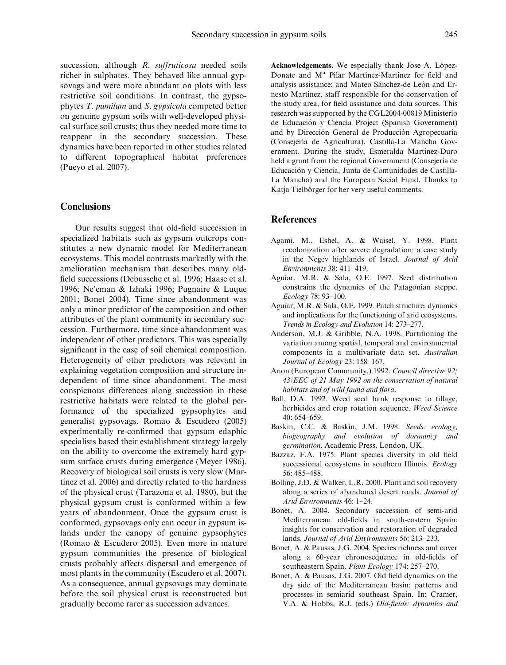succession, although R. suffruticosa needed soils richer in sulphates. They behaved like annual gypsovags and were more abundant on plots with less restrictive soil conditions. In contrast, the gypsophytes T. pumilum and S. gypsicola competed better on genuine gypsum soils with well-developed physical surface soil crusts; thus they needed more time to reappear in the secondary succession. These dynamics have been reported in other studies related to different topographical habitat preferences (Pueyo et al. 2007).

### **Conclusions**

Our results suggest that old-field succession in specialized habitats such as gypsum outcrops constitutes a new dynamic model for Mediterranean ecosystems. This model contrasts markedly with the amelioration mechanism that describes many oldfield successions (Debussche et al. 1996; Haase et al. 1996; Ne'eman & Izhaki 1996; Pugnaire & Luque 2001; Bonet 2004). Time since abandonment was only a minor predictor of the composition and other attributes of the plant community in secondary succession. Furthermore, time since abandonment was independent of other predictors. This was especially significant in the case of soil chemical composition. Heterogeneity of other predictors was relevant in explaining vegetation composition and structure independent of time since abandonment. The most conspicuous differences along succession in these restrictive habitats were related to the global performance of the specialized gypsophytes and generalist gypsovags. Romao & Escudero (2005) experimentally re-confirmed that gypsum edaphic specialists based their establishment strategy largely on the ability to overcome the extremely hard gypsum surface crusts during emergence (Meyer 1986). Recovery of biological soil crusts is very slow (Martinez et al. 2006) and directly related to the hardness of the physical crust (Tarazona et al. 1980), but the physical gypsum crust is conformed within a few years of abandonment. Once the gypsum crust is conformed, gypsovags only can occur in gypsum islands under the canopy of genuine gypsophytes (Romao & Escudero 2005). Even more in mature gypsum communities the presence of biological crusts probably affects dispersal and emergence of most plants in the community (Escudero et al. 2007). As a consequence, annual gypsovags may dominate before the soil physical crust is reconstructed but gradually become rarer as succession advances.

Acknowledgements. We especially thank Jose A. López-Donate and M<sup>a</sup> Pilar Martinez-Martinez for field and analysis assistance; and Mateo Sánchez-de León and Ernesto Martínez, staff responsible for the conservation of the study area, for field assistance and data sources. This research was supported by the CGL2004-00819 Ministerio de Educación y Ciencia Project (Spanish Government) and by Dirección General de Producción Agropecuaria (Consejería de Agricultura), Castilla-La Mancha Government. During the study, Esmeralda Martínez-Duro held a grant from the regional Government (Consejería de Educación y Ciencia, Junta de Comunidades de Castilla-La Mancha) and the European Social Fund. Thanks to Katja Tielbörger for her very useful comments.

### References

- Agami, M., Eshel, A. & Waisel, Y. 1998. Plant recolonization after severe degradation: a case study in the Negev highlands of Israel. Journal of Arid Environments 38: 411–419.
- Aguiar, M.R. & Sala, O.E. 1997. Seed distribution constrains the dynamics of the Patagonian steppe. Ecology 78: 93–100.
- Aguiar, M.R. & Sala, O.E. 1999. Patch structure, dynamics and implications for the functioning of arid ecosystems. Trends in Ecology and Evolution 14: 273–277.
- Anderson, M.J. & Gribble, N.A. 1998. Partitioning the variation among spatial, temporal and environmental components in a multivariate data set. Australian Journal of Ecology 23: 158–167.
- Anon (European Community.) 1992. Council directive 92/ 43/EEC of 21 May 1992 on the conservation of natural habitats and of wild fauna and flora.
- Ball, D.A. 1992. Weed seed bank response to tillage, herbicides and crop rotation sequence. Weed Science 40: 654–659.
- Baskin, C.C. & Baskin, J.M. 1998. Seeds: ecology, biogeography and evolution of dormancy and germination. Academic Press, London, UK.
- Bazzaz, F.A. 1975. Plant species diversity in old field successional ecosystems in southern Illinois. Ecology 56: 485–488.
- Bolling, J.D. & Walker, L.R. 2000. Plant and soil recovery along a series of abandoned desert roads. Journal of Arid Environments 46: 1–24.
- Bonet, A. 2004. Secondary succession of semi-arid Mediterranean old-fields in south-eastern Spain: insights for conservation and restoration of degraded lands. Journal of Arid Environments 56: 213–233.
- Bonet, A. & Pausas, J.G. 2004. Species richness and cover along a 60-year chronosequence in old-fields of southeastern Spain. Plant Ecology 174: 257–270.
- Bonet, A. & Pausas, J.G. 2007. Old field dynamics on the dry side of the Mediterranean basin: patterns and processes in semiarid southeast Spain. In: Cramer, V.A. & Hobbs, R.J. (eds.) Old-fields: dynamics and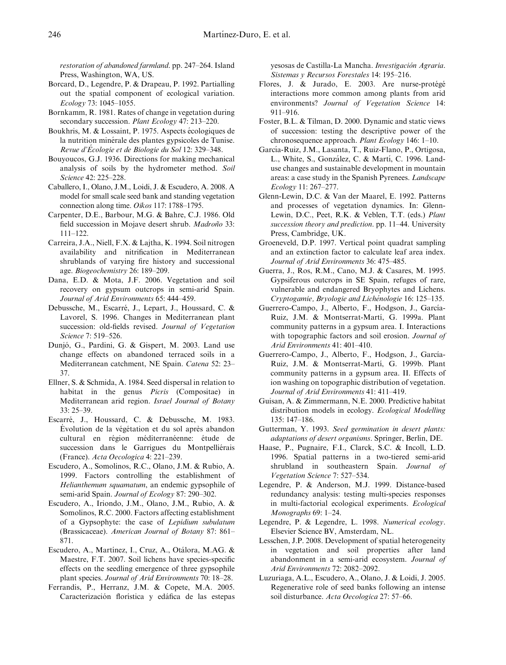restoration of abandoned farmland. pp. 247–264. Island Press, Washington, WA, US.

- Borcard, D., Legendre, P. & Drapeau, P. 1992. Partialling out the spatial component of ecological variation. Ecology 73: 1045–1055.
- Bornkamm, R. 1981. Rates of change in vegetation during secondary succession. *Plant Ecology* 47: 213–220.
- Boukhris, M. & Lossaint, P. 1975. Aspects écologiques de la nutrition minérale des plantes gypsicoles de Tunise. Revue d'Écologie et de Biologie du Sol 12: 329-348.
- Bouyoucos, G.J. 1936. Directions for making mechanical analysis of soils by the hydrometer method. Soil Science 42: 225–228.
- Caballero, I., Olano, J.M., Loidi, J. & Escudero, A. 2008. A model for small scale seed bank and standing vegetation connection along time. Oikos 117: 1788–1795.
- Carpenter, D.E., Barbour, M.G. & Bahre, C.J. 1986. Old field succession in Mojave desert shrub. Madroño 33: 111–122.
- Carreira, J.A., Niell, F.X. & Lajtha, K. 1994. Soil nitrogen availability and nitrification in Mediterranean shrublands of varying fire history and successional age. Biogeochemistry 26: 189–209.
- Dana, E.D. & Mota, J.F. 2006. Vegetation and soil recovery on gypsum outcrops in semi-arid Spain. Journal of Arid Environments 65: 444–459.
- Debussche, M., Escarré, J., Lepart, J., Houssard, C. & Lavorel, S. 1996. Changes in Mediterranean plant succession: old-fields revised. Journal of Vegetation Science 7: 519–526.
- Dunjó, G., Pardini, G. & Gispert, M. 2003. Land use change effects on abandoned terraced soils in a Mediterranean catchment, NE Spain. Catena 52: 23– 37.
- Ellner, S. & Schmida, A. 1984. Seed dispersal in relation to habitat in the genus Picris (Compositae) in Mediterranean arid region. Israel Journal of Botany 33: 25–39.
- Escarré, J., Houssard, C. & Debussche, M. 1983. Évolution de la végétation et du sol après abandon cultural en région méditerranéenne: étude de succession dans le Garrigues du Montpelliérais (France). Acta Oecologica 4: 221–239.
- Escudero, A., Somolinos, R.C., Olano, J.M. & Rubio, A. 1999. Factors controlling the establishment of Helianthemum squamatum, an endemic gypsophile of semi-arid Spain. Journal of Ecology 87: 290-302.
- Escudero, A., Iriondo, J.M., Olano, J.M., Rubio, A. & Somolinos, R.C. 2000. Factors affecting establishment of a Gypsophyte: the case of Lepidium subulatum (Brassicaceae). American Journal of Botany 87: 861– 871.
- Escudero, A., Martínez, I., Cruz, A., Otálora, M.AG. & Maestre, F.T. 2007. Soil lichens have species-specific effects on the seedling emergence of three gypsophile plant species. Journal of Arid Environments 70: 18–28.
- Ferrandis, P., Herranz, J.M. & Copete, M.A. 2005. Caracterización florística y edáfica de las estepas

yesosas de Castilla-La Mancha. Investigación Agraria. Sistemas y Recursos Forestales 14: 195–216.

- Flores, J. & Jurado, E. 2003. Are nurse-protégé interactions more common among plants from arid environments? Journal of Vegetation Science 14: 911–916.
- Foster, B.L. & Tilman, D. 2000. Dynamic and static views of succession: testing the descriptive power of the chronosequence approach. Plant Ecology 146: 1–10.
- García-Ruiz, J.M., Lasanta, T., Ruiz-Flano, P., Ortigosa, L., White, S., González, C. & Martí, C. 1996. Landuse changes and sustainable development in mountain areas: a case study in the Spanish Pyrenees. Landscape Ecology 11: 267–277.
- Glenn-Lewin, D.C. & Van der Maarel, E. 1992. Patterns and processes of vegetation dynamics. In: Glenn-Lewin, D.C., Peet, R.K. & Veblen, T.T. (eds.) Plant succession theory and prediction. pp. 11–44. University Press, Cambridge, UK.
- Groeneveld, D.P. 1997. Vertical point quadrat sampling and an extinction factor to calculate leaf area index. Journal of Arid Environments 36: 475–485.
- Guerra, J., Ros, R.M., Cano, M.J. & Casares, M. 1995. Gypsiferous outcrops in SE Spain, refuges of rare, vulnerable and endangered Bryophytes and Lichens. Cryptogamie, Bryologie and Lichénologie 16: 125-135.
- Guerrero-Campo, J., Alberto, F., Hodgson, J., García-Ruiz, J.M. & Montserrat-Martí, G. 1999a. Plant community patterns in a gypsum area. I. Interactions with topographic factors and soil erosion. Journal of Arid Environments 41: 401–410.
- Guerrero-Campo, J., Alberto, F., Hodgson, J., García-Ruiz, J.M. & Montserrat-Martí, G. 1999b. Plant community patterns in a gypsum area. II. Effects of ion washing on topographic distribution of vegetation. Journal of Arid Environments 41: 411–419.
- Guisan, A. & Zimmermann, N.E. 2000. Predictive habitat distribution models in ecology. Ecological Modelling 135: 147–186.
- Gutterman, Y. 1993. Seed germination in desert plants: adaptations of desert organisms. Springer, Berlin, DE.
- Haase, P., Pugnaire, F.I., Clarck, S.C. & Incoll, L.D. 1996. Spatial patterns in a two-tiered semi-arid shrubland in southeastern Spain. Journal of Vegetation Science 7: 527–534.
- Legendre, P. & Anderson, M.J. 1999. Distance-based redundancy analysis: testing multi-species responses in multi-factorial ecological experiments. Ecological Monographs 69: 1–24.
- Legendre, P. & Legendre, L. 1998. Numerical ecology. Elsevier Science BV, Amsterdam, NL.
- Lesschen, J.P. 2008. Development of spatial heterogeneity in vegetation and soil properties after land abandonment in a semi-arid ecosystem. Journal of Arid Environments 72: 2082–2092.
- Luzuriaga, A.L., Escudero, A., Olano, J. & Loidi, J. 2005. Regenerative role of seed banks following an intense soil disturbance. Acta Oecologica 27: 57-66.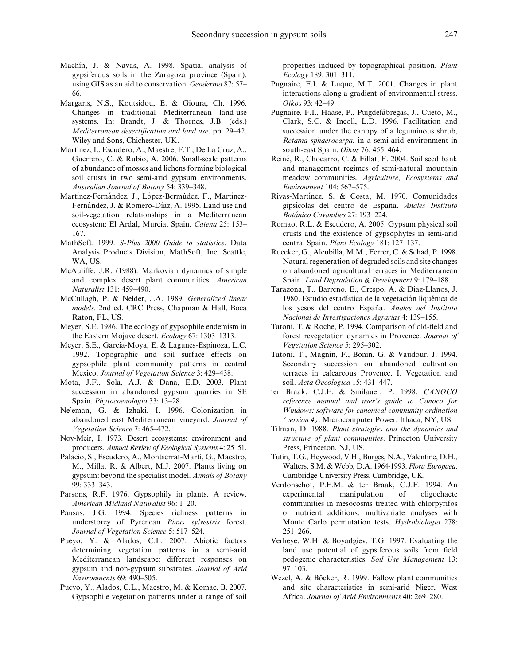- Machin, J. & Navas, A. 1998. Spatial analysis of gypsiferous soils in the Zaragoza province (Spain), using GIS as an aid to conservation. Geoderma 87: 57– 66.
- Margaris, N.S., Koutsidou, E. & Gioura, Ch. 1996. Changes in traditional Mediterranean land-use systems. In: Brandt, J. & Thornes, J.B. (eds.) Mediterranean desertification and land use. pp. 29–42. Wiley and Sons, Chichester, UK.
- Martínez, I., Escudero, A., Maestre, F.T., De La Cruz, A., Guerrero, C. & Rubio, A. 2006. Small-scale patterns of abundance of mosses and lichens forming biological soil crusts in two semi-arid gypsum environments. Australian Journal of Botany 54: 339–348.
- Martínez-Fernández, J., López-Bermúdez, F., Martínez-Fernández, J. & Romero-Díaz, A. 1995. Land use and soil-vegetation relationships in a Mediterranean ecosystem: El Ardal, Murcia, Spain. Catena 25: 153– 167.
- MathSoft. 1999. S-Plus 2000 Guide to statistics. Data Analysis Products Division, MathSoft, Inc. Seattle, WA, US.
- McAuliffe, J.R. (1988). Markovian dynamics of simple and complex desert plant communities. American Naturalist 131: 459–490.
- McCullagh, P. & Nelder, J.A. 1989. Generalized linear models. 2nd ed. CRC Press, Chapman & Hall, Boca Raton, FL, US.
- Meyer, S.E. 1986. The ecology of gypsophile endemism in the Eastern Mojave desert. Ecology 67: 1303–1313.
- Meyer, S.E., García-Moya, E. & Lagunes-Espinoza, L.C. 1992. Topographic and soil surface effects on gypsophile plant community patterns in central Mexico. Journal of Vegetation Science 3: 429–438.
- Mota, J.F., Sola, A.J. & Dana, E.D. 2003. Plant succession in abandoned gypsum quarries in SE Spain. Phytocoenologia 33: 13–28.
- Ne'eman, G. & Izhaki, I. 1996. Colonization in abandoned east Mediterranean vineyard. Journal of Vegetation Science 7: 465–472.
- Noy-Meir, I. 1973. Desert ecosystems: environment and producers. Annual Review of Ecological Systems 4: 25–51.
- Palacio, S., Escudero, A., Montserrat-Martí, G., Maestro, M., Milla, R. & Albert, M.J. 2007. Plants living on gypsum: beyond the specialist model. Annals of Botany 99: 333–343.
- Parsons, R.F. 1976. Gypsophily in plants. A review. American Midland Naturalist 96: 1–20.
- Pausas, J.G. 1994. Species richness patterns in understorey of Pyrenean Pinus sylvestris forest. Journal of Vegetation Science 5: 517–524.
- Pueyo, Y. & Alados, C.L. 2007. Abiotic factors determining vegetation patterns in a semi-arid Mediterranean landscape: different responses on gypsum and non-gypsum substrates. Journal of Arid Environments 69: 490–505.
- Pueyo, Y., Alados, C.L., Maestro, M. & Komac, B. 2007. Gypsophile vegetation patterns under a range of soil

properties induced by topographical position. Plant Ecology 189: 301–311.

- Pugnaire, F.I. & Luque, M.T. 2001. Changes in plant interactions along a gradient of environmental stress. Oikos 93: 42–49.
- Pugnaire, F.I., Haase, P., Puigdefábregas, J., Cueto, M., Clark, S.C. & Incoll, L.D. 1996. Facilitation and succession under the canopy of a leguminous shrub, Retama sphaerocarpa, in a semi-arid environment in south-east Spain. Oikos 76: 455–464.
- Reiné, R., Chocarro, C. & Fillat, F. 2004. Soil seed bank and management regimes of semi-natural mountain meadow communities. Agriculture, Ecosystems and Environment 104: 567–575.
- Rivas-Martínez, S. & Costa, M. 1970. Comunidades gipsicolas del centro de España. Anales Instituto Botánico Cavanilles 27: 193-224.
- Romao, R.L. & Escudero, A. 2005. Gypsum physical soil crusts and the existence of gypsophytes in semi-arid central Spain. Plant Ecology 181: 127–137.
- Ruecker, G., Alcubilla, M.M., Ferrer, C. & Schad, P. 1998. Natural regeneration of degraded soils and site changes on abandoned agricultural terraces in Mediterranean Spain. Land Degradation & Development 9: 179–188.
- Tarazona, T., Barreno, E., Crespo, A. & Díaz-Llanos, J. 1980. Estudio estadística de la vegetación liquénica de los yesos del centro España. Anales del Instituto Nacional de Investigaciones Agrarias 4: 139–155.
- Tatoni, T. & Roche, P. 1994. Comparison of old-field and forest revegetation dynamics in Provence. Journal of Vegetation Science 5: 295–302.
- Tatoni, T., Magnin, F., Bonin, G. & Vaudour, J. 1994. Secondary succession on abandoned cultivation terraces in calcareous Provence. I. Vegetation and soil. Acta Oecologica 15: 431–447.
- ter Braak, C.J.F. & Smilauer, P. 1998. CANOCO reference manual and user's guide to Canoco for Windows: software for canonical community ordination (version 4). Microcomputer Power, Ithaca, NY, US.
- Tilman, D. 1988. Plant strategies and the dynamics and structure of plant communities. Princeton University Press, Princeton, NJ, US.
- Tutin, T.G., Heywood, V.H., Burges, N.A., Valentine, D.H., Walters, S.M. & Webb, D.A. 1964-1993. Flora Europaea. Cambridge University Press, Cambridge, UK.
- Verdonschot, P.F.M. & ter Braak, C.J.F. 1994. An experimental manipulation of oligochaete communities in mesocosms treated with chlorpyrifos or nutrient additions: multivariate analyses with Monte Carlo permutation tests. Hydrobiologia 278: 251–266.
- Verheye, W.H. & Boyadgiev, T.G. 1997. Evaluating the land use potential of gypsiferous soils from field pedogenic characteristics. Soil Use Management 13: 97–103.
- Wezel, A. & Böcker, R. 1999. Fallow plant communities and site characteristics in semi-arid Niger, West Africa. Journal of Arid Environments 40: 269–280.